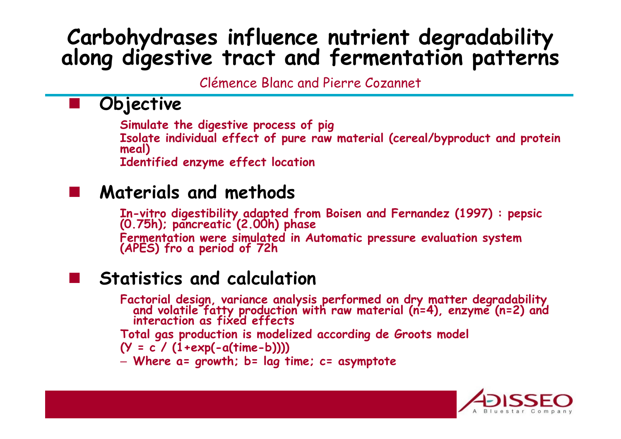# **Carbohydrases influence nutrient degradability along digestive tract and fermentation patterns**

Clémence Blanc and Pierre Cozannet

### **Objective**

**Simulate the digestive process of pig Isolate individual effect of pure raw material (cereal/byproduct and protein meal) Identified enzyme effect location**

#### **Materials and methods**

**In-vitro digestibility adapted from Boisen and Fernandez (1997) : pepsic (0.75h); pancreatic (2.00h) phase Fermentation were simulated in Automatic pressure evaluation system (APES) fro a period of 72h** 

#### **Statistics and calculation**

**Factorial design, variance analysis performed on dry matter degradability and volatile fatty production with raw material (n=4), enzyme (n=2) and interaction as fixed effects** 

**Total gas production is modelized according de Groots model** 

**(Y = c / (1+exp(-a(time-b))))**

– **Where a= growth; b= lag time; c= asymptote**

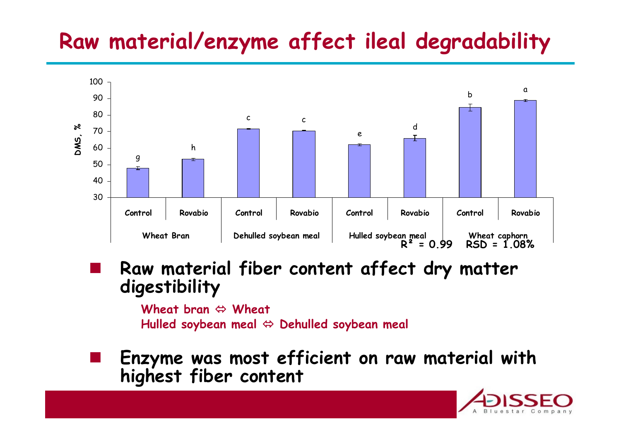## **Raw material/enzyme affect ileal degradability**



**Raw material fiber content affect dry matter digestibility**

> **Wheat bran Wheat Hulled soybean meal Dehulled soybean meal**

**Enzyme was most efficient on raw material with highest fiber content**

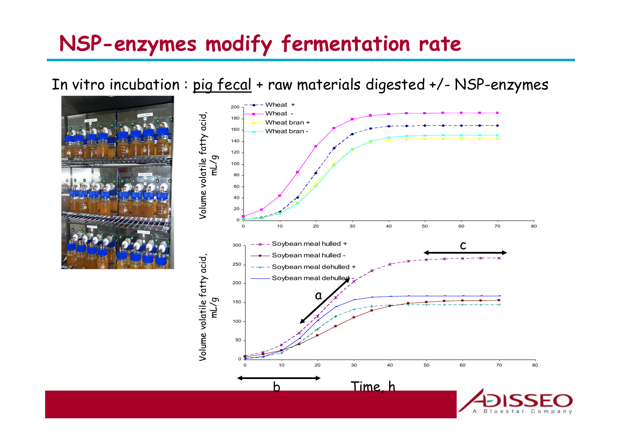### **NSP-enzymes modify fermentation rate**

In vitro incubation : pig fecal + raw materials digested +/- NSP-enzymes



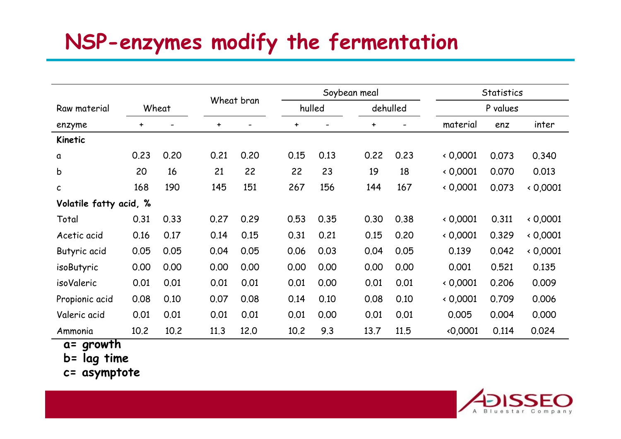# **NSP-enzymes modify the fermentation**

|                        | Wheat     |      |           | Wheat bran               |           | Soybean meal |           |          |          | <b>Statistics</b> |        |  |
|------------------------|-----------|------|-----------|--------------------------|-----------|--------------|-----------|----------|----------|-------------------|--------|--|
| Raw material           |           |      |           |                          |           | hulled       |           | dehulled | P values |                   |        |  |
| enzyme                 | $\ddot{}$ |      | $\ddot{}$ | $\overline{\phantom{0}}$ | $\ddot{}$ |              | $\ddot{}$ |          | material | enz               | inter  |  |
| Kinetic                |           |      |           |                          |           |              |           |          |          |                   |        |  |
| a                      | 0.23      | 0.20 | 0.21      | 0.20                     | 0.15      | 0.13         | 0.22      | 0.23     | 0,0001   | 0.073             | 0.340  |  |
| b                      | 20        | 16   | 21        | 22                       | 22        | 23           | 19        | 18       | 0,0001   | 0.070             | 0.013  |  |
| $\mathsf{C}$           | 168       | 190  | 145       | 151                      | 267       | 156          | 144       | 167      | 0.0001   | 0.073             | 0,0001 |  |
| Volatile fatty acid, % |           |      |           |                          |           |              |           |          |          |                   |        |  |
| Total                  | 0.31      | 0.33 | 0.27      | 0.29                     | 0.53      | 0.35         | 0.30      | 0.38     | 0,0001   | 0.311             | 0,0001 |  |
| Acetic acid            | 0.16      | 0.17 | 0.14      | 0.15                     | 0.31      | 0.21         | 0.15      | 0.20     | 0.0001   | 0.329             | 0.0001 |  |
| Butyric acid           | 0.05      | 0.05 | 0.04      | 0.05                     | 0.06      | 0.03         | 0.04      | 0.05     | 0.139    | 0.042             | 0,0001 |  |
| isoButyric             | 0.00      | 0.00 | 0.00      | 0.00                     | 0.00      | 0.00         | 0.00      | 0.00     | 0.001    | 0.521             | 0.135  |  |
| isoValeric             | 0.01      | 0.01 | 0.01      | 0.01                     | 0.01      | 0.00         | 0.01      | 0.01     | 0.0001   | 0.206             | 0.009  |  |
| Propionic acid         | 0.08      | 0.10 | 0.07      | 0.08                     | 0.14      | 0.10         | 0.08      | 0.10     | 0,0001   | 0.709             | 0.006  |  |
| Valeric acid           | 0.01      | 0.01 | 0.01      | 0.01                     | 0.01      | 0.00         | 0.01      | 0.01     | 0.005    | 0.004             | 0.000  |  |
| Ammonia                | 10.2      | 10.2 | 11.3      | 12.0                     | 10.2      | 9.3          | 13.7      | 11.5     | 0,0001   | 0.114             | 0.024  |  |

**a= growth** 

**b= lag time**

**c= asymptote**